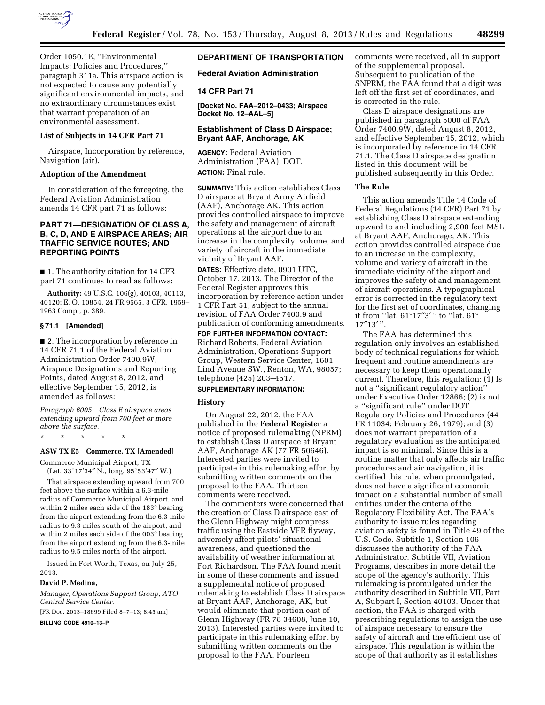

Order 1050.1E, ''Environmental Impacts: Policies and Procedures,'' paragraph 311a. This airspace action is not expected to cause any potentially significant environmental impacts, and no extraordinary circumstances exist that warrant preparation of an environmental assessment.

### **List of Subjects in 14 CFR Part 71**

Airspace, Incorporation by reference, Navigation (air).

## **Adoption of the Amendment**

In consideration of the foregoing, the Federal Aviation Administration amends 14 CFR part 71 as follows:

## **PART 71—DESIGNATION OF CLASS A, B, C, D, AND E AIRSPACE AREAS; AIR TRAFFIC SERVICE ROUTES; AND REPORTING POINTS**

■ 1. The authority citation for 14 CFR part 71 continues to read as follows:

**Authority:** 49 U.S.C. 106(g), 40103, 40113, 40120; E. O. 10854, 24 FR 9565, 3 CFR, 1959– 1963 Comp., p. 389.

### **§ 71.1 [Amended]**

■ 2. The incorporation by reference in 14 CFR 71.1 of the Federal Aviation Administration Order 7400.9W, Airspace Designations and Reporting Points, dated August 8, 2012, and effective September 15, 2012, is amended as follows:

*Paragraph 6005 Class E airspace areas extending upward from 700 feet or more above the surface.* 

\* \* \* \* \*

## **ASW TX E5 Commerce, TX [Amended]**

Commerce Municipal Airport, TX (Lat. 33°17′34″ N., long. 95°53′47″ W.)

That airspace extending upward from 700 feet above the surface within a 6.3-mile radius of Commerce Municipal Airport, and within 2 miles each side of the 183° bearing from the airport extending from the 6.3-mile radius to 9.3 miles south of the airport, and within 2 miles each side of the 003° bearing from the airport extending from the 6.3-mile radius to 9.5 miles north of the airport.

Issued in Fort Worth, Texas, on July 25, 2013.

### **David P. Medina,**

*Manager, Operations Support Group, ATO Central Service Center.* 

[FR Doc. 2013–18699 Filed 8–7–13; 8:45 am]

**BILLING CODE 4910–13–P** 

## **DEPARTMENT OF TRANSPORTATION**

### **Federal Aviation Administration**

## **14 CFR Part 71**

**[Docket No. FAA–2012–0433; Airspace Docket No. 12–AAL–5]** 

## **Establishment of Class D Airspace; Bryant AAF, Anchorage, AK**

**AGENCY:** Federal Aviation Administration (FAA), DOT. **ACTION:** Final rule.

**SUMMARY:** This action establishes Class D airspace at Bryant Army Airfield (AAF), Anchorage AK. This action provides controlled airspace to improve the safety and management of aircraft operations at the airport due to an increase in the complexity, volume, and variety of aircraft in the immediate vicinity of Bryant AAF.

**DATES:** Effective date, 0901 UTC, October 17, 2013. The Director of the Federal Register approves this incorporation by reference action under 1 CFR Part 51, subject to the annual revision of FAA Order 7400.9 and publication of conforming amendments.

**FOR FURTHER INFORMATION CONTACT:**  Richard Roberts, Federal Aviation Administration, Operations Support Group, Western Service Center, 1601 Lind Avenue SW., Renton, WA, 98057; telephone (425) 203–4517.

#### **SUPPLEMENTARY INFORMATION:**

### **History**

On August 22, 2012, the FAA published in the **Federal Register** a notice of proposed rulemaking (NPRM) to establish Class D airspace at Bryant AAF, Anchorage AK (77 FR 50646). Interested parties were invited to participate in this rulemaking effort by submitting written comments on the proposal to the FAA. Thirteen comments were received.

The commenters were concerned that the creation of Class D airspace east of the Glenn Highway might compress traffic using the Eastside VFR flyway, adversely affect pilots' situational awareness, and questioned the availability of weather information at Fort Richardson. The FAA found merit in some of these comments and issued a supplemental notice of proposed rulemaking to establish Class D airspace at Bryant AAF, Anchorage, AK, but would eliminate that portion east of Glenn Highway (FR 78 34608, June 10, 2013). Interested parties were invited to participate in this rulemaking effort by submitting written comments on the proposal to the FAA. Fourteen

comments were received, all in support of the supplemental proposal. Subsequent to publication of the SNPRM, the FAA found that a digit was left off the first set of coordinates, and is corrected in the rule.

Class D airspace designations are published in paragraph 5000 of FAA Order 7400.9W, dated August 8, 2012, and effective September 15, 2012, which is incorporated by reference in 14 CFR 71.1. The Class D airspace designation listed in this document will be published subsequently in this Order.

#### **The Rule**

This action amends Title 14 Code of Federal Regulations (14 CFR) Part 71 by establishing Class D airspace extending upward to and including 2,900 feet MSL at Bryant AAF, Anchorage, AK. This action provides controlled airspace due to an increase in the complexity, volume and variety of aircraft in the immediate vicinity of the airport and improves the safety of and management of aircraft operations. A typographical error is corrected in the regulatory text for the first set of coordinates, changing it from ''lat. 61°17″3′ '' to ''lat. 61° 17″13′ ''.

The FAA has determined this regulation only involves an established body of technical regulations for which frequent and routine amendments are necessary to keep them operationally current. Therefore, this regulation: (1) Is not a ''significant regulatory action'' under Executive Order 12866; (2) is not a ''significant rule'' under DOT Regulatory Policies and Procedures (44 FR 11034; February 26, 1979); and (3) does not warrant preparation of a regulatory evaluation as the anticipated impact is so minimal. Since this is a routine matter that only affects air traffic procedures and air navigation, it is certified this rule, when promulgated, does not have a significant economic impact on a substantial number of small entities under the criteria of the Regulatory Flexibility Act. The FAA's authority to issue rules regarding aviation safety is found in Title 49 of the U.S. Code. Subtitle 1, Section 106 discusses the authority of the FAA Administrator. Subtitle VII, Aviation Programs, describes in more detail the scope of the agency's authority. This rulemaking is promulgated under the authority described in Subtitle VII, Part A, Subpart I, Section 40103. Under that section, the FAA is charged with prescribing regulations to assign the use of airspace necessary to ensure the safety of aircraft and the efficient use of airspace. This regulation is within the scope of that authority as it establishes